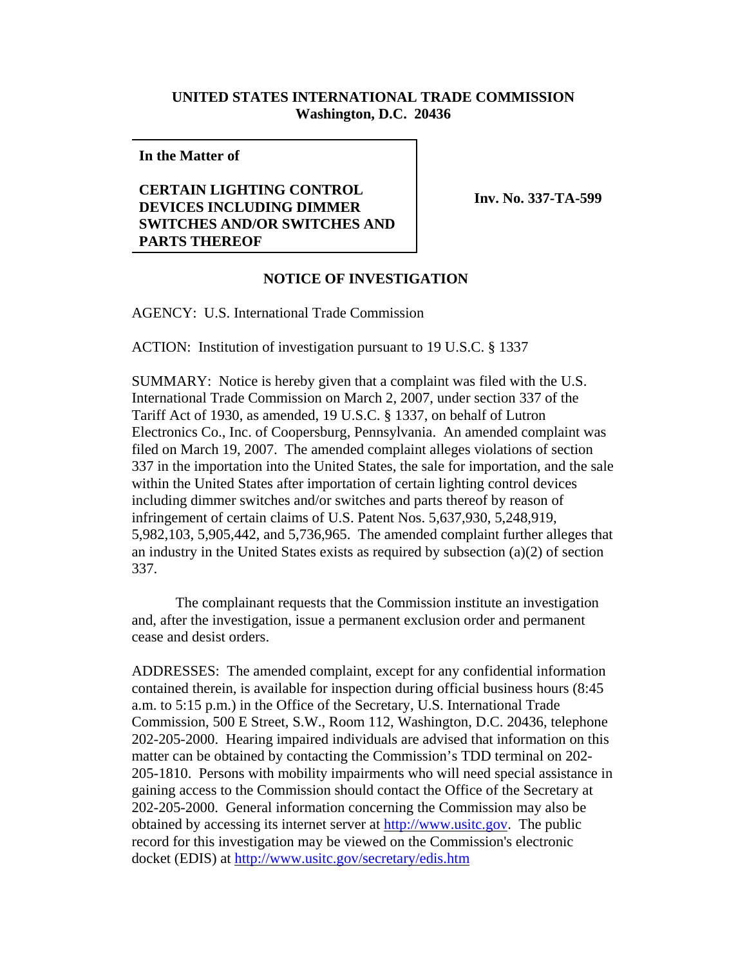## **UNITED STATES INTERNATIONAL TRADE COMMISSION Washington, D.C. 20436**

**In the Matter of**

## **CERTAIN LIGHTING CONTROL DEVICES INCLUDING DIMMER SWITCHES AND/OR SWITCHES AND PARTS THEREOF**

**Inv. No. 337-TA-599**

## **NOTICE OF INVESTIGATION**

AGENCY: U.S. International Trade Commission

ACTION: Institution of investigation pursuant to 19 U.S.C. § 1337

SUMMARY: Notice is hereby given that a complaint was filed with the U.S. International Trade Commission on March 2, 2007, under section 337 of the Tariff Act of 1930, as amended, 19 U.S.C. § 1337, on behalf of Lutron Electronics Co., Inc. of Coopersburg, Pennsylvania. An amended complaint was filed on March 19, 2007. The amended complaint alleges violations of section 337 in the importation into the United States, the sale for importation, and the sale within the United States after importation of certain lighting control devices including dimmer switches and/or switches and parts thereof by reason of infringement of certain claims of U.S. Patent Nos. 5,637,930, 5,248,919, 5,982,103, 5,905,442, and 5,736,965. The amended complaint further alleges that an industry in the United States exists as required by subsection (a)(2) of section 337.

The complainant requests that the Commission institute an investigation and, after the investigation, issue a permanent exclusion order and permanent cease and desist orders.

ADDRESSES: The amended complaint, except for any confidential information contained therein, is available for inspection during official business hours (8:45 a.m. to 5:15 p.m.) in the Office of the Secretary, U.S. International Trade Commission, 500 E Street, S.W., Room 112, Washington, D.C. 20436, telephone 202-205-2000. Hearing impaired individuals are advised that information on this matter can be obtained by contacting the Commission's TDD terminal on 202- 205-1810. Persons with mobility impairments who will need special assistance in gaining access to the Commission should contact the Office of the Secretary at 202-205-2000. General information concerning the Commission may also be obtained by accessing its internet server at http://www.usitc.gov. The public record for this investigation may be viewed on the Commission's electronic docket (EDIS) at http://www.usitc.gov/secretary/edis.htm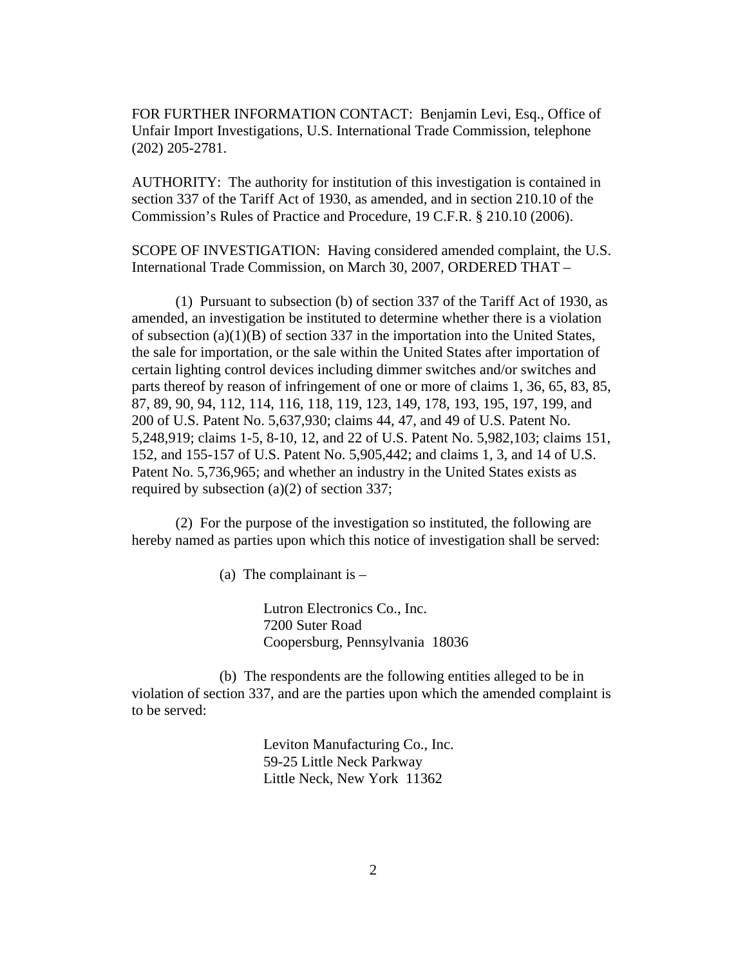FOR FURTHER INFORMATION CONTACT: Benjamin Levi, Esq., Office of Unfair Import Investigations, U.S. International Trade Commission, telephone (202) 205-2781.

AUTHORITY: The authority for institution of this investigation is contained in section 337 of the Tariff Act of 1930, as amended, and in section 210.10 of the Commission's Rules of Practice and Procedure, 19 C.F.R. § 210.10 (2006).

SCOPE OF INVESTIGATION: Having considered amended complaint, the U.S. International Trade Commission, on March 30, 2007, ORDERED THAT –

(1) Pursuant to subsection (b) of section 337 of the Tariff Act of 1930, as amended, an investigation be instituted to determine whether there is a violation of subsection (a)(1)(B) of section 337 in the importation into the United States, the sale for importation, or the sale within the United States after importation of certain lighting control devices including dimmer switches and/or switches and parts thereof by reason of infringement of one or more of claims 1, 36, 65, 83, 85, 87, 89, 90, 94, 112, 114, 116, 118, 119, 123, 149, 178, 193, 195, 197, 199, and 200 of U.S. Patent No. 5,637,930; claims 44, 47, and 49 of U.S. Patent No. 5,248,919; claims 1-5, 8-10, 12, and 22 of U.S. Patent No. 5,982,103; claims 151, 152, and 155-157 of U.S. Patent No. 5,905,442; and claims 1, 3, and 14 of U.S. Patent No. 5,736,965; and whether an industry in the United States exists as required by subsection (a)(2) of section 337;

(2) For the purpose of the investigation so instituted, the following are hereby named as parties upon which this notice of investigation shall be served:

(a) The complainant is  $-$ 

Lutron Electronics Co., Inc. 7200 Suter Road Coopersburg, Pennsylvania 18036

(b) The respondents are the following entities alleged to be in violation of section 337, and are the parties upon which the amended complaint is to be served:

> Leviton Manufacturing Co., Inc. 59-25 Little Neck Parkway Little Neck, New York 11362